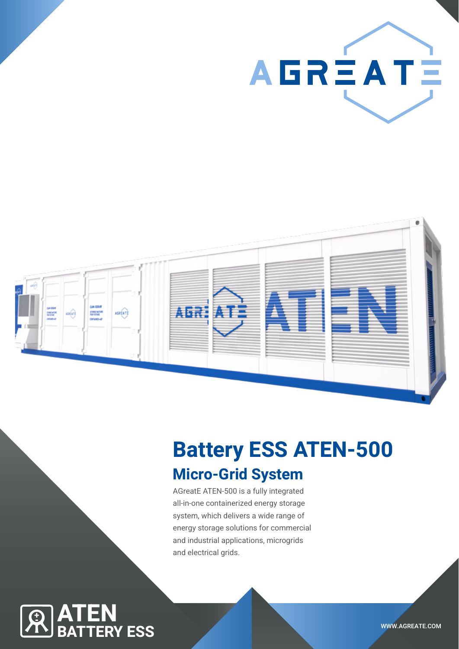AGRÈATÈ



## Battery ESS ATEN-500

## Micro-Grid System

AGreatE ATEN-500 is a fully integrated all-in-one containerized energy storage system, which delivers a wide range of energy storage solutions for commercial and industrial applications, microgrids and electrical grids.

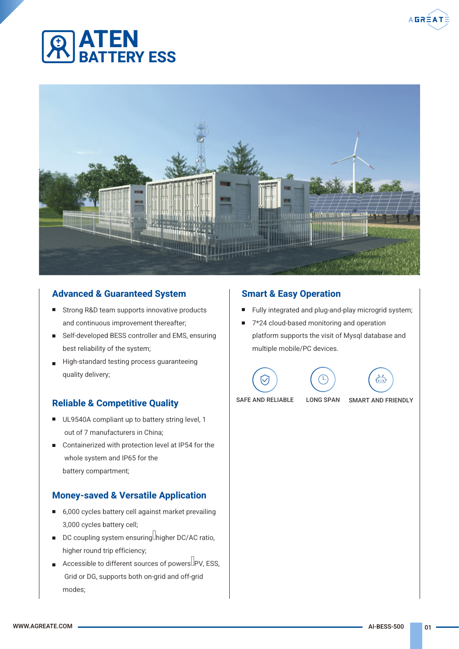

# BATTERY ESS

ATEN



#### Advanced & Guaranteed System

- Strong R&D team supports innovative products and continuous improvement thereafter;
- Self-developed BESS controller and EMS, ensuring best reliability of the system;
- High-standard testing process guaranteeing quality delivery;

#### Reliable & Competitive Quality

- $\blacksquare$ UL9540A compliant up to battery string level, 1 out of 7 manufacturers in China;
- Containerized with protection level at IP54 for the whole system and IP65 for the battery compartment;

#### Money-saved & Versatile Application

- 6,000 cycles battery cell against market prevailing 3,000 cycles battery cell;
- DC coupling system ensuring higher DC/AC ratio, higher round trip efficiency;
- Accessible to different sources of powers  $\Box$ PV, ESS, Grid or DG, supports both on-grid and off-grid modes;

#### Smart & Easy Operation

- $\blacksquare$ Fully integrated and plug-and-play microgrid system;
- $\blacksquare$ 7\*24 cloud-based monitoring and operation platform supports the visit of Mysql database and multiple mobile/PC devices.









SAFE AND RELIABLE LONG SPAN SMART AND FRIENDLY

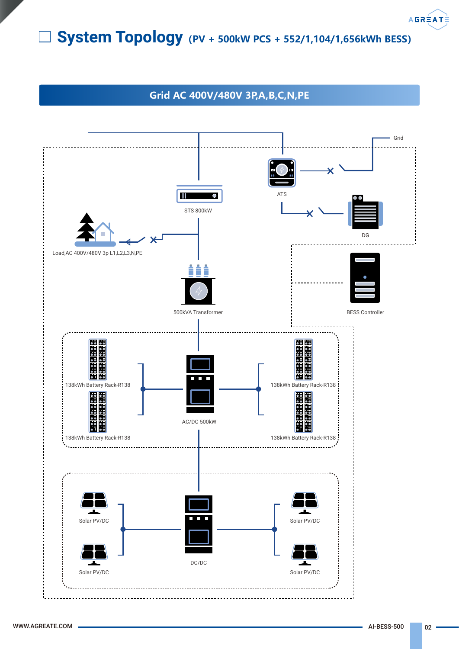## System Topology**(PV + 500kW PCS + 552/1,104/1,656kWh BESS)**

#### **Grid AC 400V/480V 3P,A,B,C,N,PE**



**AGRÉATÉ**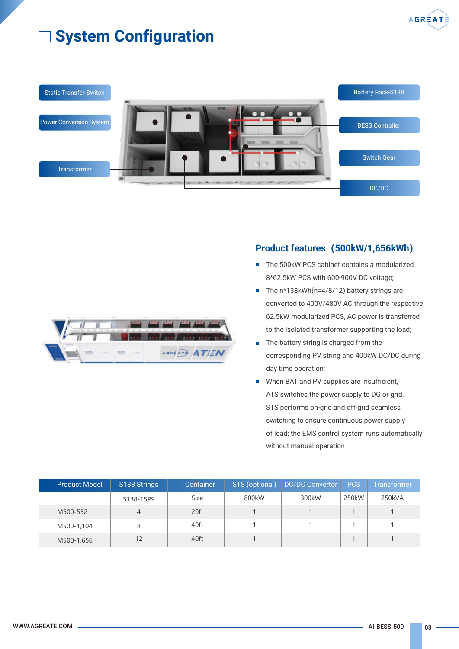

## **System Configuration**



#### Product features**(**500kW/1,656kWh**)**

- The 500kW PCS cabinet contains a modularized 8\*62.5kW PCS with 600-900V DC voltage;
- The n\*138kWh(n=4/8/12) battery strings are converted to 400V/480V AC through the respective 62.5kW modularized PCS, AC power is transferred to the isolated transformer supporting the load;
- The battery string is charged from the corresponding PV string and 400kW DC/DC during day time operation;
- When BAT and PV supplies are insufficient, Ħ ATS switches the power supply to DG or grid. STS performs on-grid and off-grid seamless switching to ensure continuous power supply of load; the EMS control system runs automatically without manual operation

| <b>Product Model</b> | S138 Strings | Container | STS (optional) | <b>DC/DC Convertor</b> | PCS   | <b>Transformer</b> |  |
|----------------------|--------------|-----------|----------------|------------------------|-------|--------------------|--|
|                      | S138-15P9    | Size      | 800kW          | 300kW                  | 250kW | 250kVA             |  |
| M500-552             |              | 20ft      |                |                        |       |                    |  |
| M500-1,104           |              | 40ft      |                |                        |       |                    |  |
| M500-1,656           | 12           | 40ft      |                |                        |       |                    |  |

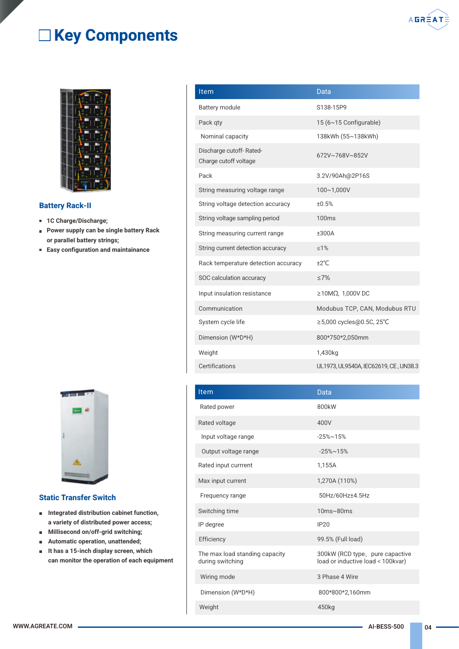## □ Key Components



#### Battery Rack-II

- 1C Charge/Discharge;
- **Power supply can be single battery Rack** or paraIIeI battery strings;
- Easy configuration and maintainance



#### Static Transfer Switch

- **Integrated distribution cabinet function,** a variety of distributed power access;
- Millisecond on/off-grid switching;  $\blacksquare$
- Automatic operation, unattended;  $\blacksquare$
- It has a 15-inch display screen, which  $\blacksquare$ can monitor the operation of each equipment

| Item                                             | Data                          |
|--------------------------------------------------|-------------------------------|
| <b>Battery module</b>                            | S138-15P9                     |
| Pack qty                                         | 15 (6~15 Configurable)        |
| Nominal capacity                                 | 138kWh (55~138kWh)            |
| Discharge cutoff-Rated-<br>Charge cutoff voltage | 672V~768V~852V                |
| Pack                                             | 3.2V/90Ah@2P16S               |
| String measuring voltage range                   | 100~1,000V                    |
| String voltage detection accuracy                | ±0.5%                         |
| String voltage sampling period                   | 100ms                         |
| String measuring current range                   | ±300A                         |
| String current detection accuracy                | $\leq 1\%$                    |
| Rack temperature detection accuracy              | ±2°C                          |
| SOC calculation accuracy                         | $\leq 7\%$                    |
| Input insulation resistance                      | $\geq$ 10MΩ, 1,000V DC        |
| Communication                                    | Modubus TCP, CAN, Modubus RTU |
| System cycle life                                | ≥5,000 cycles@0.5C, 25°C      |
| Dimension (W*D*H)                                | 800*750*2,050mm               |
| Weight                                           | 1,430kg                       |
|                                                  |                               |

| Item                                               | Data                                                                 |
|----------------------------------------------------|----------------------------------------------------------------------|
| Rated power                                        | 800kW                                                                |
| Rated voltage                                      | 400V                                                                 |
| Input voltage range                                | $-25\% \sim 15\%$                                                    |
| Output voltage range                               | $-25\% \sim 15\%$                                                    |
| Rated input currrent                               | 1,155A                                                               |
| Max input current                                  | 1,270A (110%)                                                        |
| Frequency range                                    | 50Hz/60Hz±4.5Hz                                                      |
| Switching time                                     | $10ms \sim 80ms$                                                     |
| IP degree                                          | IP20                                                                 |
| Efficiency                                         | 99.5% (Full load)                                                    |
| The max load standing capacity<br>during switching | 300kW (RCD type, pure capactive<br>load or inductive load < 100kvar) |
| Wiring mode                                        | 3 Phase 4 Wire                                                       |
| Dimension (W*D*H)                                  | 800*800*2,160mm                                                      |
| Weight                                             | 450kg                                                                |

Certifications UL1973, UL9540A, IEC62619, CE , UN38.3

**AGRÉAT**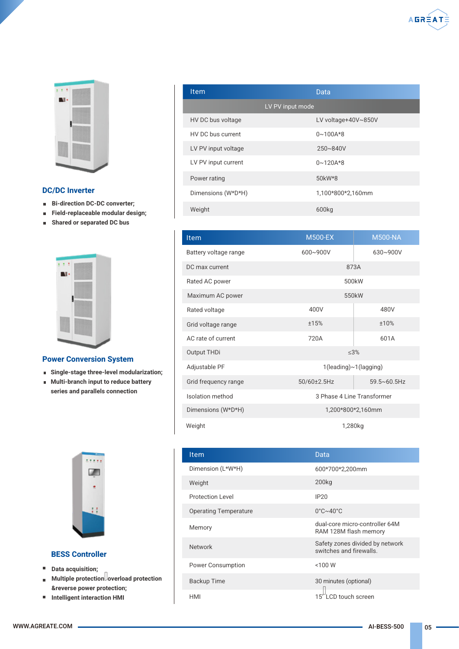

#### DC/DC Inverter

- **Bi-direction DC-DC converter;**
- Field-replaceable modular design;  $\blacksquare$
- $\blacksquare$ Shared or separated DC bus



#### Power Conversion System

- Single-stage three-level modularization;
- **Multi-branch input to reduce battery** series and parallels connection



#### BESS Controller

- **Data acquisition;**
- Multiple protection overload protection  $\blacksquare$ &reverse power protection;
- Intelligent interaction HMI

| Item                | Data                |
|---------------------|---------------------|
|                     | LV PV input mode    |
| HV DC bus voltage   | LV voltage+40V~850V |
| HV DC bus current   | $0 \sim 100A*8$     |
| LV PV input voltage | 250~840V            |
| LV PV input current | $0 \sim 120A * 8$   |
| Power rating        | 50kW*8              |
| Dimensions (W*D*H)  | 1,100*800*2,160mm   |
| Weight              | 600kg               |

| <b>Item</b>           | <b>M500-NA</b><br><b>M500-EX</b> |                       |  |  |
|-----------------------|----------------------------------|-----------------------|--|--|
| Battery voltage range | 600~900V                         | 630~900V              |  |  |
| DC max current        | 873A                             |                       |  |  |
| Rated AC power        | 500 <sub>k</sub> W               |                       |  |  |
| Maximum AC power      | 550kW                            |                       |  |  |
| Rated voltage         | 400V                             | 480V                  |  |  |
| Grid voltage range    | ±15%                             | ±10%                  |  |  |
| AC rate of current    | 720A<br>601A                     |                       |  |  |
| Output THDi           | < 3%                             |                       |  |  |
| Adjustable PF         | 1(leading)~1(lagging)            |                       |  |  |
| Grid frequency range  | 50/60±2.5Hz                      | $59.5 \times 60.5$ Hz |  |  |
| Isolation method      | 3 Phase 4 Line Transformer       |                       |  |  |
| Dimensions (W*D*H)    | 1,200*800*2,160mm                |                       |  |  |
| 1,280kg<br>Weight     |                                  |                       |  |  |

| <b>Item</b>                  | Data                                                       |
|------------------------------|------------------------------------------------------------|
| Dimension (L*W*H)            | 600*700*2,200mm                                            |
| Weight                       | 200 <sub>kg</sub>                                          |
| Protection Level             | IP20                                                       |
| <b>Operating Temperature</b> | $0^\circ C \sim 40^\circ C$                                |
| Memory                       | dual-core micro-controller 64M<br>RAM 128M flash memory    |
| <b>Network</b>               | Safety zones divided by network<br>switches and firewalls. |
| Power Consumption            | $<$ 100 W                                                  |
| <b>Backup Time</b>           | 30 minutes (optional)                                      |
| HMI                          | LCD touch screen                                           |

WWW.AGREATE.COM **ALICE COM ALICE COM** 05

**AGRÉATE**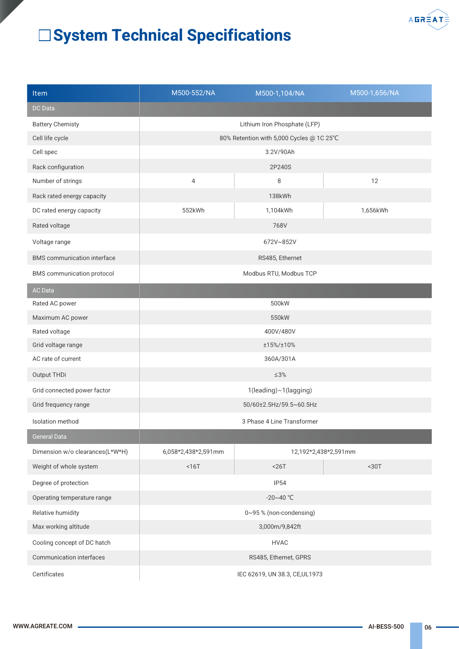

## System Technical Specifications

| Item                               | M500-552/NA                    | M500-1,104/NA                            | M500-1,656/NA        |  |  |
|------------------------------------|--------------------------------|------------------------------------------|----------------------|--|--|
| <b>DC</b> Data                     |                                |                                          |                      |  |  |
| <b>Battery Chemisty</b>            | Lithium Iron Phosphate (LFP)   |                                          |                      |  |  |
| Cell life cycle                    |                                | 80% Retention with 5,000 Cycles @ 1C 25℃ |                      |  |  |
| Cell spec                          |                                |                                          |                      |  |  |
| Rack configuration                 |                                | 2P240S                                   |                      |  |  |
| Number of strings                  | $\overline{4}$<br>8            |                                          | 12                   |  |  |
| Rack rated energy capacity         |                                | 138kWh                                   |                      |  |  |
| DC rated energy capacity           | 552kWh                         | 1,104kWh                                 | 1,656kWh             |  |  |
| Rated voltage                      |                                | 768V                                     |                      |  |  |
| Voltage range                      | 672V~852V                      |                                          |                      |  |  |
| <b>BMS</b> communication interface | RS485, Ethernet                |                                          |                      |  |  |
| <b>BMS</b> communication protocol  | Modbus RTU, Modbus TCP         |                                          |                      |  |  |
| <b>AC</b> Data                     |                                |                                          |                      |  |  |
| Rated AC power                     | 500kW                          |                                          |                      |  |  |
| Maximum AC power                   |                                | 550kW                                    |                      |  |  |
| Rated voltage                      | 400V/480V                      |                                          |                      |  |  |
| Grid voltage range                 | ±15%/±10%                      |                                          |                      |  |  |
| AC rate of current                 | 360A/301A                      |                                          |                      |  |  |
| Output THDi                        | $\leq 3\%$                     |                                          |                      |  |  |
| Grid connected power factor        | 1(leading)~1(lagging)          |                                          |                      |  |  |
| Grid frequency range               | 50/60±2.5Hz/59.5~60.5Hz        |                                          |                      |  |  |
| Isolation method                   |                                | 3 Phase 4 Line Transformer               |                      |  |  |
| <b>General Data</b>                |                                |                                          |                      |  |  |
| Dimension w/o clearances(L*W*H)    | 6,058*2,438*2,591mm            |                                          | 12,192*2,438*2,591mm |  |  |
| Weight of whole system             | $16T$                          | $26T$                                    | <30T                 |  |  |
| Degree of protection               |                                | <b>IP54</b>                              |                      |  |  |
| Operating temperature range        |                                | $-20 - 40$ °C                            |                      |  |  |
| Relative humidity                  |                                | 0~95 % (non-condensing)                  |                      |  |  |
| Max working altitude               |                                | 3,000m/9,842ft                           |                      |  |  |
| Cooling concept of DC hatch        |                                | <b>HVAC</b>                              |                      |  |  |
| Communication interfaces           |                                | RS485, Ethernet, GPRS                    |                      |  |  |
| Certificates                       | IEC 62619, UN 38.3, CE, UL1973 |                                          |                      |  |  |